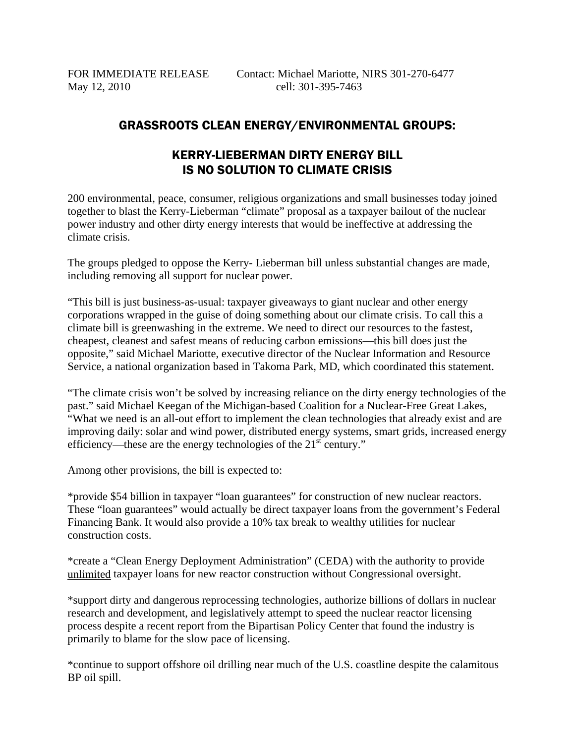May 12, 2010 cell: 301-395-7463

## GRASSROOTS CLEAN ENERGY/ENVIRONMENTAL GROUPS:

## KERRY-LIEBERMAN DIRTY ENERGY BILL IS NO SOLUTION TO CLIMATE CRISIS

200 environmental, peace, consumer, religious organizations and small businesses today joined together to blast the Kerry-Lieberman "climate" proposal as a taxpayer bailout of the nuclear power industry and other dirty energy interests that would be ineffective at addressing the climate crisis.

The groups pledged to oppose the Kerry- Lieberman bill unless substantial changes are made, including removing all support for nuclear power.

"This bill is just business-as-usual: taxpayer giveaways to giant nuclear and other energy corporations wrapped in the guise of doing something about our climate crisis. To call this a climate bill is greenwashing in the extreme. We need to direct our resources to the fastest, cheapest, cleanest and safest means of reducing carbon emissions—this bill does just the opposite," said Michael Mariotte, executive director of the Nuclear Information and Resource Service, a national organization based in Takoma Park, MD, which coordinated this statement.

"The climate crisis won't be solved by increasing reliance on the dirty energy technologies of the past." said Michael Keegan of the Michigan-based Coalition for a Nuclear-Free Great Lakes, "What we need is an all-out effort to implement the clean technologies that already exist and are improving daily: solar and wind power, distributed energy systems, smart grids, increased energy efficiency—these are the energy technologies of the 21<sup>st</sup> century."

Among other provisions, the bill is expected to:

\*provide \$54 billion in taxpayer "loan guarantees" for construction of new nuclear reactors. These "loan guarantees" would actually be direct taxpayer loans from the government's Federal Financing Bank. It would also provide a 10% tax break to wealthy utilities for nuclear construction costs.

\*create a "Clean Energy Deployment Administration" (CEDA) with the authority to provide unlimited taxpayer loans for new reactor construction without Congressional oversight.

\*support dirty and dangerous reprocessing technologies, authorize billions of dollars in nuclear research and development, and legislatively attempt to speed the nuclear reactor licensing process despite a recent report from the Bipartisan Policy Center that found the industry is primarily to blame for the slow pace of licensing.

\*continue to support offshore oil drilling near much of the U.S. coastline despite the calamitous BP oil spill.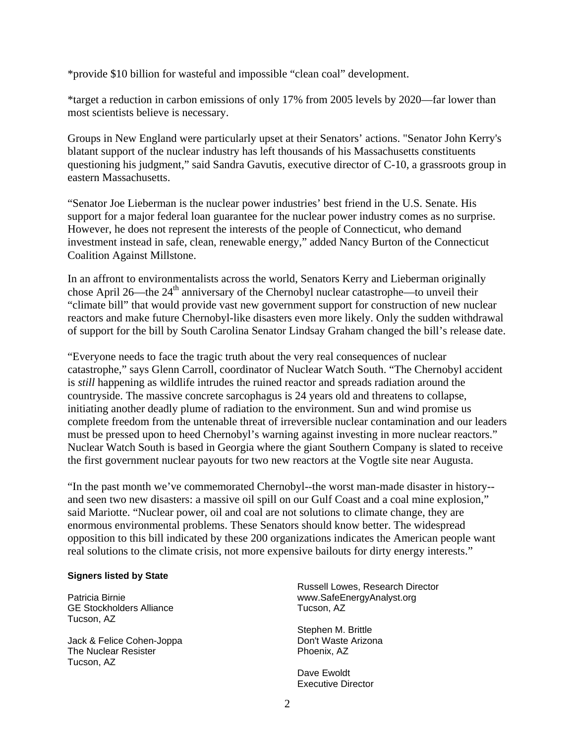\*provide \$10 billion for wasteful and impossible "clean coal" development.

\*target a reduction in carbon emissions of only 17% from 2005 levels by 2020—far lower than most scientists believe is necessary.

Groups in New England were particularly upset at their Senators' actions. "Senator John Kerry's blatant support of the nuclear industry has left thousands of his Massachusetts constituents questioning his judgment," said Sandra Gavutis, executive director of C-10, a grassroots group in eastern Massachusetts.

"Senator Joe Lieberman is the nuclear power industries' best friend in the U.S. Senate. His support for a major federal loan guarantee for the nuclear power industry comes as no surprise. However, he does not represent the interests of the people of Connecticut, who demand investment instead in safe, clean, renewable energy," added Nancy Burton of the Connecticut Coalition Against Millstone.

In an affront to environmentalists across the world, Senators Kerry and Lieberman originally chose April 26—the  $24<sup>th</sup>$  anniversary of the Chernobyl nuclear catastrophe—to unveil their "climate bill" that would provide vast new government support for construction of new nuclear reactors and make future Chernobyl-like disasters even more likely. Only the sudden withdrawal of support for the bill by South Carolina Senator Lindsay Graham changed the bill's release date.

"Everyone needs to face the tragic truth about the very real consequences of nuclear catastrophe," says Glenn Carroll, coordinator of Nuclear Watch South. "The Chernobyl accident is *still* happening as wildlife intrudes the ruined reactor and spreads radiation around the countryside. The massive concrete sarcophagus is 24 years old and threatens to collapse, initiating another deadly plume of radiation to the environment. Sun and wind promise us complete freedom from the untenable threat of irreversible nuclear contamination and our leaders must be pressed upon to heed Chernobyl's warning against investing in more nuclear reactors." Nuclear Watch South is based in Georgia where the giant Southern Company is slated to receive the first government nuclear payouts for two new reactors at the Vogtle site near Augusta.

"In the past month we've commemorated Chernobyl--the worst man-made disaster in history- and seen two new disasters: a massive oil spill on our Gulf Coast and a coal mine explosion," said Mariotte. "Nuclear power, oil and coal are not solutions to climate change, they are enormous environmental problems. These Senators should know better. The widespread opposition to this bill indicated by these 200 organizations indicates the American people want real solutions to the climate crisis, not more expensive bailouts for dirty energy interests."

## **Signers listed by State**

Patricia Birnie GE Stockholders Alliance Tucson, AZ

Jack & Felice Cohen-Joppa The Nuclear Resister Tucson, AZ

Russell Lowes, Research Director www.SafeEnergyAnalyst.org Tucson, AZ

Stephen M. Brittle Don't Waste Arizona Phoenix, AZ

Dave Ewoldt Executive Director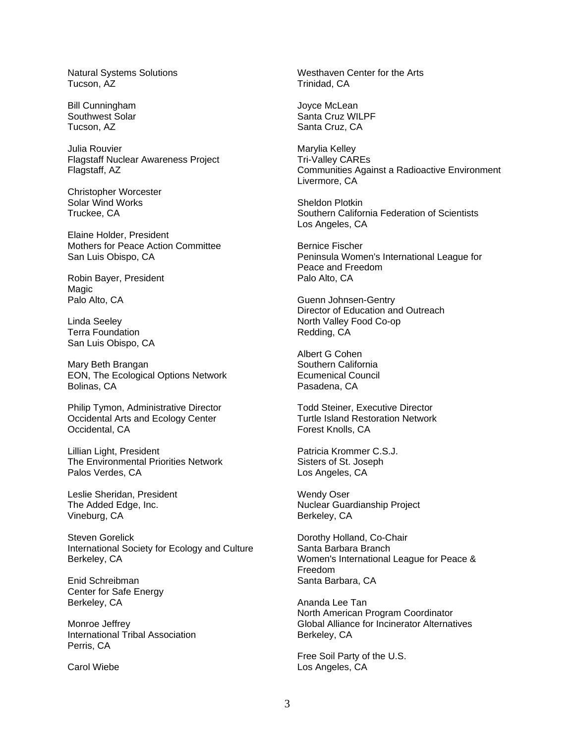Natural Systems Solutions Tucson, AZ

Bill Cunningham Southwest Solar Tucson, AZ

Julia Rouvier Flagstaff Nuclear Awareness Project Flagstaff, AZ

Christopher Worcester Solar Wind Works Truckee, CA

Elaine Holder, President Mothers for Peace Action Committee San Luis Obispo, CA

Robin Bayer, President Magic Palo Alto, CA

Linda Seeley Terra Foundation San Luis Obispo, CA

Mary Beth Brangan EON, The Ecological Options Network Bolinas, CA

Philip Tymon, Administrative Director Occidental Arts and Ecology Center Occidental, CA

Lillian Light, President The Environmental Priorities Network Palos Verdes, CA

Leslie Sheridan, President The Added Edge, Inc. Vineburg, CA

Steven Gorelick International Society for Ecology and Culture Berkeley, CA

Enid Schreibman Center for Safe Energy Berkeley, CA

Monroe Jeffrey International Tribal Association Perris, CA

Carol Wiebe

Westhaven Center for the Arts Trinidad, CA

Joyce McLean Santa Cruz WILPF Santa Cruz, CA

Marylia Kelley Tri-Valley CAREs Communities Against a Radioactive Environment Livermore, CA

Sheldon Plotkin Southern California Federation of Scientists Los Angeles, CA

Bernice Fischer Peninsula Women's International League for Peace and Freedom Palo Alto, CA

Guenn Johnsen-Gentry Director of Education and Outreach North Valley Food Co-op Redding, CA

Albert G Cohen Southern California Ecumenical Council Pasadena, CA

Todd Steiner, Executive Director Turtle Island Restoration Network Forest Knolls, CA

Patricia Krommer C.S.J. Sisters of St. Joseph Los Angeles, CA

Wendy Oser Nuclear Guardianship Project Berkeley, CA

Dorothy Holland, Co-Chair Santa Barbara Branch Women's International League for Peace & Freedom Santa Barbara, CA

Ananda Lee Tan North American Program Coordinator Global Alliance for Incinerator Alternatives Berkeley, CA

Free Soil Party of the U.S. Los Angeles, CA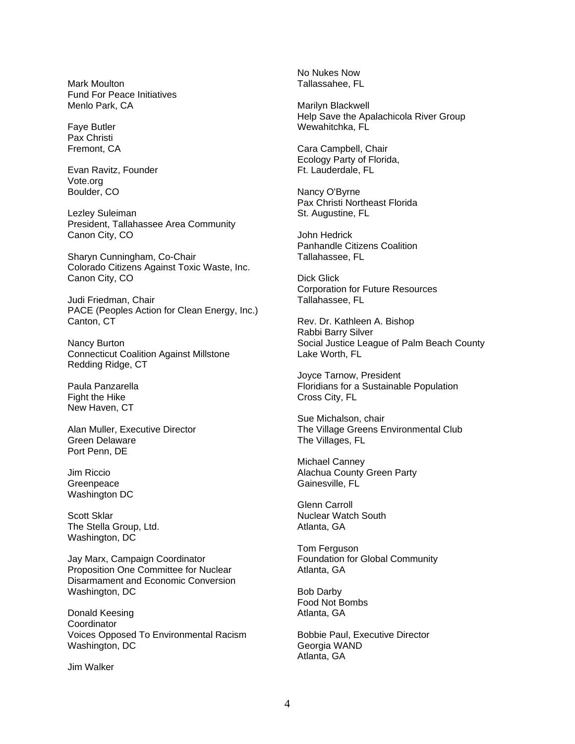Mark Moulton Fund For Peace Initiatives Menlo Park, CA

Faye Butler Pax Christi Fremont, CA

Evan Ravitz, Founder Vote.org Boulder, CO

Lezley Suleiman President, Tallahassee Area Community Canon City, CO

Sharyn Cunningham, Co-Chair Colorado Citizens Against Toxic Waste, Inc. Canon City, CO

Judi Friedman, Chair PACE (Peoples Action for Clean Energy, Inc.) Canton, CT

Nancy Burton Connecticut Coalition Against Millstone Redding Ridge, CT

Paula Panzarella Fight the Hike New Haven, CT

Alan Muller, Executive Director Green Delaware Port Penn, DE

Jim Riccio **Greenpeace** Washington DC

Scott Sklar The Stella Group, Ltd. Washington, DC

Jay Marx, Campaign Coordinator Proposition One Committee for Nuclear Disarmament and Economic Conversion Washington, DC

Donald Keesing **Coordinator** Voices Opposed To Environmental Racism Washington, DC

Jim Walker

No Nukes Now Tallassahee, FL

Marilyn Blackwell Help Save the Apalachicola River Group Wewahitchka, FL

Cara Campbell, Chair Ecology Party of Florida, Ft. Lauderdale, FL

Nancy O'Byrne Pax Christi Northeast Florida St. Augustine, FL

John Hedrick Panhandle Citizens Coalition Tallahassee, FL

Dick Glick Corporation for Future Resources Tallahassee, FL

Rev. Dr. Kathleen A. Bishop Rabbi Barry Silver Social Justice League of Palm Beach County Lake Worth, FL

Joyce Tarnow, President Floridians for a Sustainable Population Cross City, FL

Sue Michalson, chair The Village Greens Environmental Club The Villages, FL

Michael Canney Alachua County Green Party Gainesville, FL

Glenn Carroll Nuclear Watch South Atlanta, GA

Tom Ferguson Foundation for Global Community Atlanta, GA

Bob Darby Food Not Bombs Atlanta, GA

Bobbie Paul, Executive Director Georgia WAND Atlanta, GA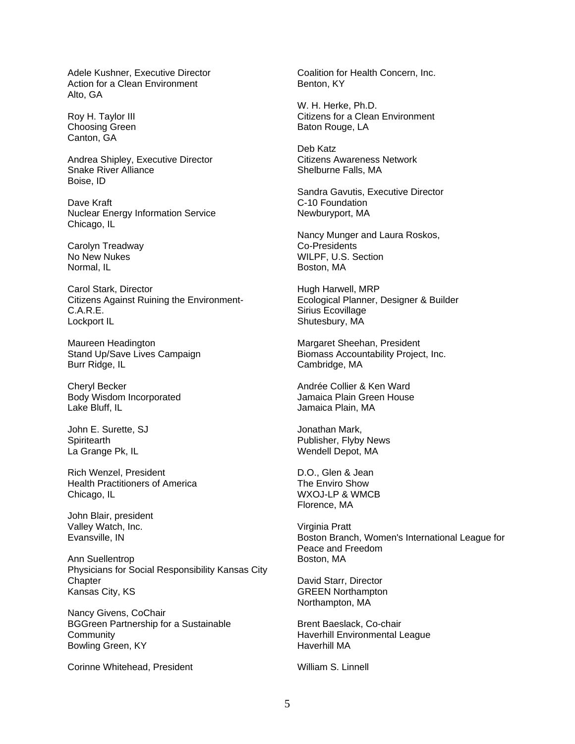Adele Kushner, Executive Director Action for a Clean Environment Alto, GA

Roy H. Taylor III Choosing Green Canton, GA

Andrea Shipley, Executive Director Snake River Alliance Boise, ID

Dave Kraft Nuclear Energy Information Service Chicago, IL

Carolyn Treadway No New Nukes Normal, IL

Carol Stark, Director Citizens Against Ruining the Environment-C.A.R.E. Lockport IL

Maureen Headington Stand Up/Save Lives Campaign Burr Ridge, IL

Cheryl Becker Body Wisdom Incorporated Lake Bluff, IL

John E. Surette, SJ **Spiritearth** La Grange Pk, IL

Rich Wenzel, President Health Practitioners of America Chicago, IL

John Blair, president Valley Watch, Inc. Evansville, IN

Ann Suellentrop Physicians for Social Responsibility Kansas City **Chapter** Kansas City, KS

Nancy Givens, CoChair BGGreen Partnership for a Sustainable **Community** Bowling Green, KY

Corinne Whitehead, President

Coalition for Health Concern, Inc. Benton, KY

W. H. Herke, Ph.D. Citizens for a Clean Environment Baton Rouge, LA

Deb Katz Citizens Awareness Network Shelburne Falls, MA

Sandra Gavutis, Executive Director C-10 Foundation Newburyport, MA

Nancy Munger and Laura Roskos, Co-Presidents WILPF, U.S. Section Boston, MA

Hugh Harwell, MRP Ecological Planner, Designer & Builder Sirius Ecovillage Shutesbury, MA

Margaret Sheehan, President Biomass Accountability Project, Inc. Cambridge, MA

Andrée Collier & Ken Ward Jamaica Plain Green House Jamaica Plain, MA

Jonathan Mark, Publisher, Flyby News Wendell Depot, MA

D.O., Glen & Jean The Enviro Show WXOJ-LP & WMCB Florence, MA

Virginia Pratt Boston Branch, Women's International League for Peace and Freedom Boston, MA

David Starr, Director GREEN Northampton Northampton, MA

Brent Baeslack, Co-chair Haverhill Environmental League Haverhill MA

William S. Linnell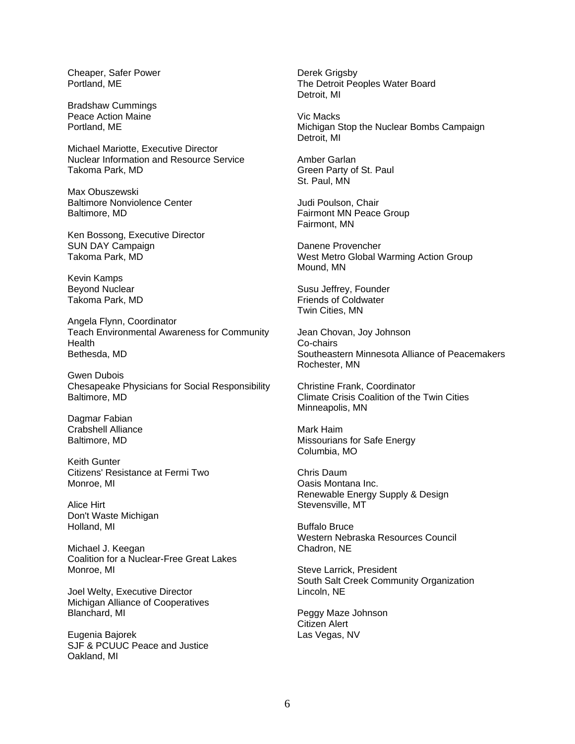Cheaper, Safer Power Portland, ME

Bradshaw Cummings Peace Action Maine Portland, ME

Michael Mariotte, Executive Director Nuclear Information and Resource Service Takoma Park, MD

Max Obuszewski Baltimore Nonviolence Center Baltimore, MD

Ken Bossong, Executive Director SUN DAY Campaign Takoma Park, MD

Kevin Kamps Beyond Nuclear Takoma Park, MD

Angela Flynn, Coordinator Teach Environmental Awareness for Community **Health** Bethesda, MD

Gwen Dubois Chesapeake Physicians for Social Responsibility Baltimore, MD

Dagmar Fabian Crabshell Alliance Baltimore, MD

Keith Gunter Citizens' Resistance at Fermi Two Monroe, MI

Alice Hirt Don't Waste Michigan Holland, MI

Michael J. Keegan Coalition for a Nuclear-Free Great Lakes Monroe, MI

Joel Welty, Executive Director Michigan Alliance of Cooperatives Blanchard, MI

Eugenia Bajorek SJF & PCUUC Peace and Justice Oakland, MI

Derek Grigsby The Detroit Peoples Water Board Detroit, MI

Vic Macks Michigan Stop the Nuclear Bombs Campaign Detroit, MI

Amber Garlan Green Party of St. Paul St. Paul, MN

Judi Poulson, Chair Fairmont MN Peace Group Fairmont, MN

Danene Provencher West Metro Global Warming Action Group Mound, MN

Susu Jeffrey, Founder Friends of Coldwater Twin Cities, MN

Jean Chovan, Joy Johnson Co-chairs Southeastern Minnesota Alliance of Peacemakers Rochester, MN

Christine Frank, Coordinator Climate Crisis Coalition of the Twin Cities Minneapolis, MN

Mark Haim Missourians for Safe Energy Columbia, MO

Chris Daum Oasis Montana Inc. Renewable Energy Supply & Design Stevensville, MT

Buffalo Bruce Western Nebraska Resources Council Chadron, NE

Steve Larrick, President South Salt Creek Community Organization Lincoln, NE

Peggy Maze Johnson Citizen Alert Las Vegas, NV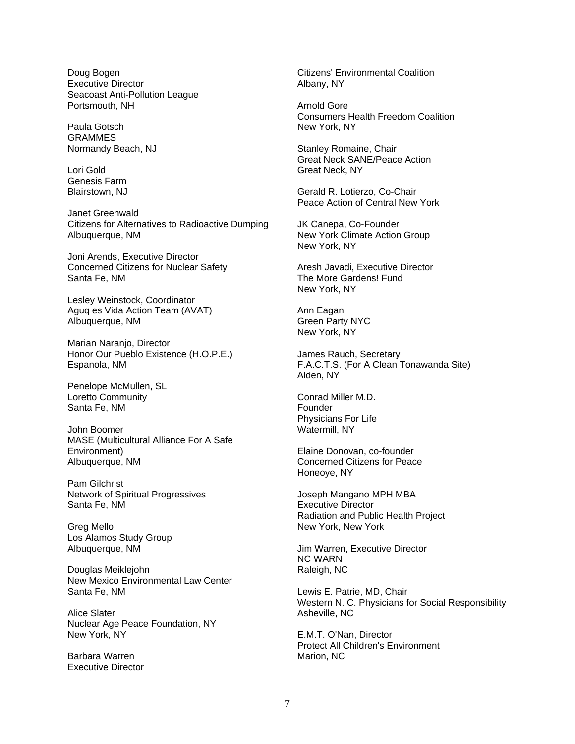Doug Bogen Executive Director Seacoast Anti-Pollution League Portsmouth, NH

Paula Gotsch **GRAMMES** Normandy Beach, NJ

Lori Gold Genesis Farm Blairstown, NJ

Janet Greenwald Citizens for Alternatives to Radioactive Dumping Albuquerque, NM

Joni Arends, Executive Director Concerned Citizens for Nuclear Safety Santa Fe, NM

Lesley Weinstock, Coordinator Aguq es Vida Action Team (AVAT) Albuquerque, NM

Marian Naranjo, Director Honor Our Pueblo Existence (H.O.P.E.) Espanola, NM

Penelope McMullen, SL Loretto Community Santa Fe, NM

John Boomer MASE (Multicultural Alliance For A Safe Environment) Albuquerque, NM

Pam Gilchrist Network of Spiritual Progressives Santa Fe, NM

Greg Mello Los Alamos Study Group Albuquerque, NM

Douglas Meiklejohn New Mexico Environmental Law Center Santa Fe, NM

Alice Slater Nuclear Age Peace Foundation, NY New York, NY

Barbara Warren Executive Director Citizens' Environmental Coalition Albany, NY

Arnold Gore Consumers Health Freedom Coalition New York, NY

Stanley Romaine, Chair Great Neck SANE/Peace Action Great Neck, NY

Gerald R. Lotierzo, Co-Chair Peace Action of Central New York

JK Canepa, Co-Founder New York Climate Action Group New York, NY

Aresh Javadi, Executive Director The More Gardens! Fund New York, NY

Ann Eagan Green Party NYC New York, NY

James Rauch, Secretary F.A.C.T.S. (For A Clean Tonawanda Site) Alden, NY

Conrad Miller M.D. Founder Physicians For Life Watermill, NY

Elaine Donovan, co-founder Concerned Citizens for Peace Honeoye, NY

Joseph Mangano MPH MBA Executive Director Radiation and Public Health Project New York, New York

Jim Warren, Executive Director NC WARN Raleigh, NC

Lewis E. Patrie, MD, Chair Western N. C. Physicians for Social Responsibility Asheville, NC

E.M.T. O'Nan, Director Protect All Children's Environment Marion, NC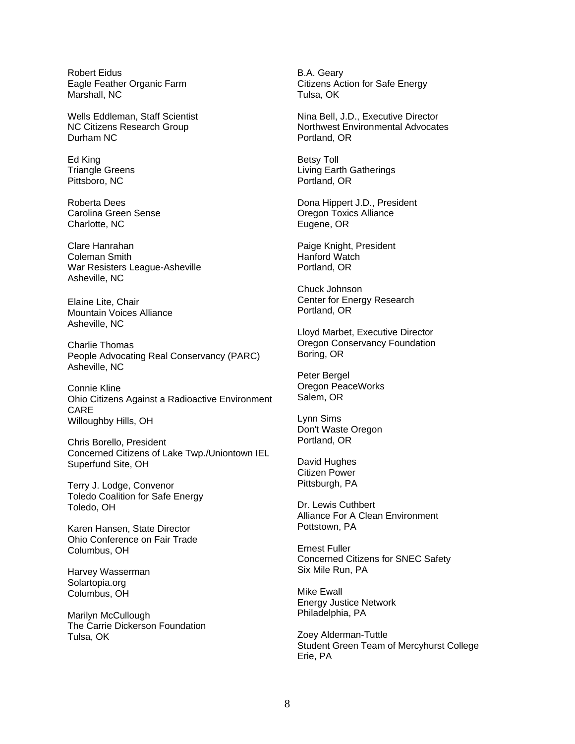Robert Eidus Eagle Feather Organic Farm Marshall, NC

Wells Eddleman, Staff Scientist NC Citizens Research Group Durham NC

Ed King Triangle Greens Pittsboro, NC

Roberta Dees Carolina Green Sense Charlotte, NC

Clare Hanrahan Coleman Smith War Resisters League-Asheville Asheville, NC

Elaine Lite, Chair Mountain Voices Alliance Asheville, NC

Charlie Thomas People Advocating Real Conservancy (PARC) Asheville, NC

Connie Kline Ohio Citizens Against a Radioactive Environment CARE Willoughby Hills, OH

Chris Borello, President Concerned Citizens of Lake Twp./Uniontown IEL Superfund Site, OH

Terry J. Lodge, Convenor Toledo Coalition for Safe Energy Toledo, OH

Karen Hansen, State Director Ohio Conference on Fair Trade Columbus, OH

Harvey Wasserman Solartopia.org Columbus, OH

Marilyn McCullough The Carrie Dickerson Foundation Tulsa, OK

B.A. Geary Citizens Action for Safe Energy Tulsa, OK

Nina Bell, J.D., Executive Director Northwest Environmental Advocates Portland, OR

Betsy Toll Living Earth Gatherings Portland, OR

Dona Hippert J.D., President Oregon Toxics Alliance Eugene, OR

Paige Knight, President Hanford Watch Portland, OR

Chuck Johnson Center for Energy Research Portland, OR

Lloyd Marbet, Executive Director Oregon Conservancy Foundation Boring, OR

Peter Bergel Oregon PeaceWorks Salem, OR

Lynn Sims Don't Waste Oregon Portland, OR

David Hughes Citizen Power Pittsburgh, PA

Dr. Lewis Cuthbert Alliance For A Clean Environment Pottstown, PA

Ernest Fuller Concerned Citizens for SNEC Safety Six Mile Run, PA

Mike Ewall Energy Justice Network Philadelphia, PA

Zoey Alderman-Tuttle Student Green Team of Mercyhurst College Erie, PA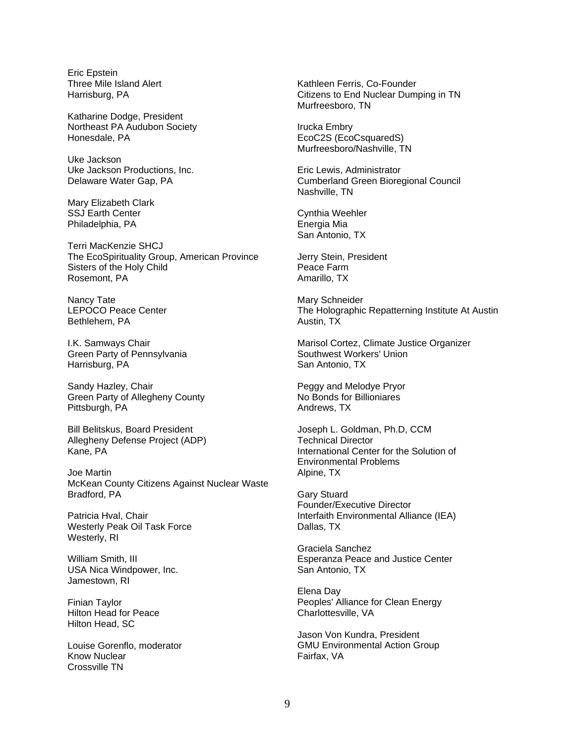Eric Epstein Three Mile Island Alert Harrisburg, PA

Katharine Dodge, President Northeast PA Audubon Society Honesdale, PA

Uke Jackson Uke Jackson Productions, Inc. Delaware Water Gap, PA

Mary Elizabeth Clark SSJ Earth Center Philadelphia, PA

Terri MacKenzie SHCJ The EcoSpirituality Group, American Province Sisters of the Holy Child Rosemont, PA

Nancy Tate LEPOCO Peace Center Bethlehem, PA

I.K. Samways Chair Green Party of Pennsylvania Harrisburg, PA

Sandy Hazley, Chair Green Party of Allegheny County Pittsburgh, PA

Bill Belitskus, Board President Allegheny Defense Project (ADP) Kane, PA

Joe Martin McKean County Citizens Against Nuclear Waste Bradford, PA

Patricia Hval, Chair Westerly Peak Oil Task Force Westerly, RI

William Smith, III USA Nica Windpower, Inc. Jamestown, RI

Finian Taylor Hilton Head for Peace Hilton Head, SC

Louise Gorenflo, moderator Know Nuclear Crossville TN

Kathleen Ferris, Co-Founder Citizens to End Nuclear Dumping in TN Murfreesboro, TN

Irucka Embry EcoC2S (EcoCsquaredS) Murfreesboro/Nashville, TN

Eric Lewis, Administrator Cumberland Green Bioregional Council Nashville, TN

Cynthia Weehler Energia Mia San Antonio, TX

Jerry Stein, President Peace Farm Amarillo, TX

Mary Schneider The Holographic Repatterning Institute At Austin Austin, TX

Marisol Cortez, Climate Justice Organizer Southwest Workers' Union San Antonio, TX

Peggy and Melodye Pryor No Bonds for Billioniares Andrews, TX

Joseph L. Goldman, Ph.D, CCM Technical Director International Center for the Solution of Environmental Problems Alpine, TX

Gary Stuard Founder/Executive Director Interfaith Environmental Alliance (IEA) Dallas, TX

Graciela Sanchez Esperanza Peace and Justice Center San Antonio, TX

Elena Day Peoples' Alliance for Clean Energy Charlottesville, VA

Jason Von Kundra, President GMU Environmental Action Group Fairfax, VA